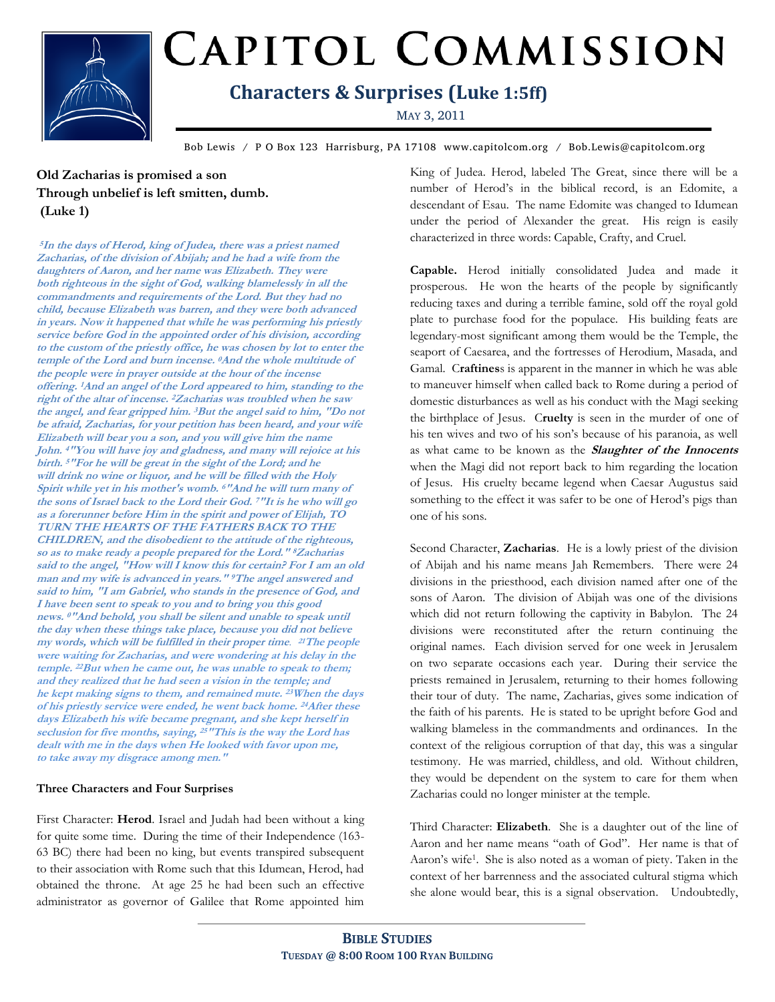

# CAPITOL COMMISSION

### **Characters & Surprises (Luke 1:5ff)**

MAY 3, 2011

Bob Lewis / P O Box 123 Harrisburg, PA 17108 www.capitolcom.org / Bob.Lewis@capitolcom.org

**Old Zacharias is promised a son Through unbelief is left smitten, dumb. (Luke 1)**

**<sup>5</sup>In the days of Herod, king of Judea, there was a priest named Zacharias, of the division of Abijah; and he had a wife from the daughters of Aaron, and her name was Elizabeth. They were both righteous in the sight of God, walking blamelessly in all the commandments and requirements of the Lord. But they had no child, because Elizabeth was barren, and they were both advanced in years. Now it happened that while he was performing his priestly service before God in the appointed order of his division, according to the custom of the priestly office, he was chosen by lot to enter the temple of the Lord and burn incense. <sup>0</sup>And the whole multitude of the people were in prayer outside at the hour of the incense offering. <sup>1</sup>And an angel of the Lord appeared to him, standing to the right of the altar of incense. <sup>2</sup>Zacharias was troubled when he saw the angel, and fear gripped him. <sup>3</sup>But the angel said to him, "Do not be afraid, Zacharias, for your petition has been heard, and your wife Elizabeth will bear you a son, and you will give him the name John. <sup>4</sup>"You will have joy and gladness, and many will rejoice at his birth. <sup>5</sup>"For he will be great in the sight of the Lord; and he will drink no wine or liquor, and he will be filled with the Holy Spirit while yet in his mother's womb. <sup>6</sup>"And he will turn many of the sons of Israel back to the Lord their God. <sup>7</sup>"It is he who will go as a forerunner before Him in the spirit and power of Elijah, TO TURN THE HEARTS OF THE FATHERS BACK TO THE CHILDREN, and the disobedient to the attitude of the righteous, so as to make ready a people prepared for the Lord." <sup>8</sup>Zacharias said to the angel, "How will I know this for certain? For I am an old man and my wife is advanced in years." <sup>9</sup>The angel answered and said to him, "I am Gabriel, who stands in the presence of God, and I have been sent to speak to you and to bring you this good news. <sup>0</sup>"And behold, you shall be silent and unable to speak until the day when these things take place, because you did not believe my words, which will be fulfilled in their proper time**. **<sup>21</sup>The people were waiting for Zacharias, and were wondering at his delay in the temple. <sup>22</sup>But when he came out, he was unable to speak to them; and they realized that he had seen a vision in the temple; and he kept making signs to them, and remained mute. <sup>23</sup>When the days of his priestly service were ended, he went back home. <sup>24</sup>After these days Elizabeth his wife became pregnant, and she kept herself in seclusion for five months, saying, <sup>25</sup>"This is the way the Lord has dealt with me in the days when He looked with favor upon me, to take away my disgrace among men."**

#### **Three Characters and Four Surprises**

First Character: **Herod**. Israel and Judah had been without a king for quite some time. During the time of their Independence (163- 63 BC) there had been no king, but events transpired subsequent to their association with Rome such that this Idumean, Herod, had obtained the throne. At age 25 he had been such an effective administrator as governor of Galilee that Rome appointed him King of Judea. Herod, labeled The Great, since there will be a number of Herod's in the biblical record, is an Edomite, a descendant of Esau. The name Edomite was changed to Idumean under the period of Alexander the great. His reign is easily characterized in three words: Capable, Crafty, and Cruel.

**Capable.** Herod initially consolidated Judea and made it prosperous. He won the hearts of the people by significantly reducing taxes and during a terrible famine, sold off the royal gold plate to purchase food for the populace. His building feats are legendary-most significant among them would be the Temple, the seaport of Caesarea, and the fortresses of Herodium, Masada, and Gamal. C**raftines**s is apparent in the manner in which he was able to maneuver himself when called back to Rome during a period of domestic disturbances as well as his conduct with the Magi seeking the birthplace of Jesus. C**ruelty** is seen in the murder of one of his ten wives and two of his son's because of his paranoia, as well as what came to be known as the **Slaughter of the Innocents**  when the Magi did not report back to him regarding the location of Jesus. His cruelty became legend when Caesar Augustus said something to the effect it was safer to be one of Herod's pigs than one of his sons.

Second Character, **Zacharias**. He is a lowly priest of the division of Abijah and his name means Jah Remembers. There were 24 divisions in the priesthood, each division named after one of the sons of Aaron. The division of Abijah was one of the divisions which did not return following the captivity in Babylon. The 24 divisions were reconstituted after the return continuing the original names. Each division served for one week in Jerusalem on two separate occasions each year. During their service the priests remained in Jerusalem, returning to their homes following their tour of duty. The name, Zacharias, gives some indication of the faith of his parents. He is stated to be upright before God and walking blameless in the commandments and ordinances. In the context of the religious corruption of that day, this was a singular testimony. He was married, childless, and old. Without children, they would be dependent on the system to care for them when Zacharias could no longer minister at the temple.

Third Character: **Elizabeth**. She is a daughter out of the line of Aaron and her name means "oath of God". Her name is that of Aaron's wife<sup>1</sup> . She is also noted as a woman of piety. Taken in the context of her barrenness and the associated cultural stigma which she alone would bear, this is a signal observation. Undoubtedly,